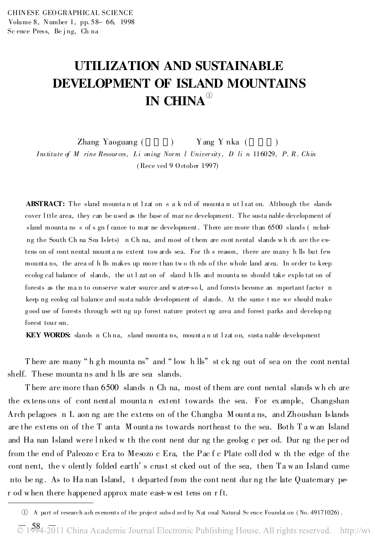# UTILIZATION AND SUSTAINABLE DEVELOPMENT OF ISLAND MOUNTAINS IN CHINA

Zhang Yaoguang ( ) Yang Y nka ( ) Institute of M rine Resources, Li oning Norm l University, D li n  $116029$ , P.R. Chin ( Rece ved 9 October 1997)

ABSTRACT: The sland mounta n ut lzat on s a k nd of mounta n ut lzat on. Although the slands cover l ttle area, they can be used as the base of mar ne development. The susta nable development of sland mounta ns s of s gn f cance to mar ne development. There are more than 6500 slands (ncludng the South Ch na Sea Islets) n Ch na, and most of t hem are co nt nental slands w h ch are the extens on of cont nental mount a ns extent tow ards sea. For the s reason, there are many h lls but few mounta ns, the area of h lls makes up mo re than two th rds of the whole land area. In order to keep ecolog cal balance of slands, the ut l zat on of sland h lls and mounta ns should take explo tat on of forests as the man to conserve water source and water-sol, and forests become an mportant factor n keep ng ecolog cal balance and susta nable development of slands. At the same t me we should make good use of forests through sett ng up forest nature protect ng area and forest parks and develop ng forest tour sm.

KEY WORDS: slands n Ch na, sland mounta ns, mount a n ut l zat on, susta nable development

There are many "h gh mounta ns" and "low h lls" st ck ng out of sea on the cont nental shelf. These mounta ns and h lls are sea slands.

T here are more than 6500 slands n Ch na, most of them are cont nental slands w h ch are the ex tens ons of cont nental mounta n extent towards the sea. For ex ample, Changshan Arch pelagoes n L aon ng are the extens on of the Changba M ounta ns, and Zhoushan Islands are the extens on of the T anta M ounta ns towards northeast to the sea. Both T a w an Island and Ha nan Island were l nked w th the cont nent dur ng the geolog c per od. Dur ng the per od from the end of Paleozo c Era to Mesozo c Era, the Pac f c Plate coll ded w th the edge of the cont nent, the v olently folded earth's crust st cked out of the sea, then Ta w an Island came nto be ng . As to Ha nan Island, t departed from the cont nent dur ng the late Quaternary per od w hen there happened approx mate east-w est tens on r ft.

A part of research ach evements of the project subs d zed by Nat onal Natural Sc ence Foundat on ( No. 49171026) .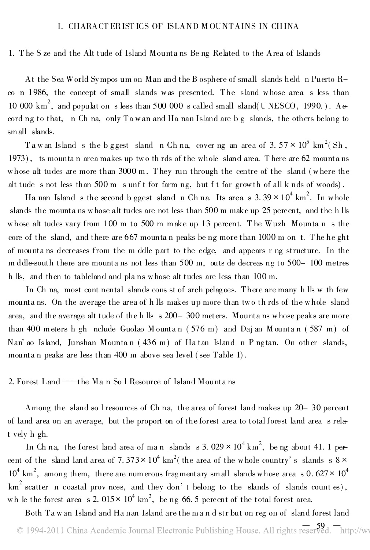#### I. CHARACT ERIST ICS OF ISLAND M OUNTAINS IN CHINA

#### 1. T he S ze and the Alt tude of Island Mounta ns Be ng Related to the Area of Islands

At the Sea World Sympos um on Man and the B osphere of small slands held n Puerto Rco n 1986, the concept of small slands w as presented. The sland w hose area s less than 10 000  $km^2$ , and populat on s less than 500 000 s called small sland(UNESCO, 1990.). Ae cord ng to that, n Ch na, only Ta w an and Ha nan Island are b g slands, the others belong to small slands.

Tawan Island s the b g gest sland n Ch na, cover ng an area of 3.57  $\times$  10 $^5$  km  $^2($  Sh , 1973) , ts mounta n area makes up tw o th rds of the whole sland area. T here are 62 mounta ns w hose alt tudes are more than 3000 m. T hey run through the centre of the sland ( w here the alt tude s not less than 500 m s unf t for farm ng, but f t for grow th of all k nds of woods) .

Ha nan Island s the second b ggest sland n Ch na. Its area s  $3.39 \times 10^4 \text{ km}^2$ . In whole slands the mounta ns w hose alt tudes are not less than 500 m make up 25 percent, and the h lls w hose alt tudes vary from 100 m to 500 m make up 13 percent. T he Wuzh Mounta n s the core of the sland, and there are 667 mounta n peaks be ng more than 1000 m on t. T he he ght of mounta ns decreases from the m ddle part to the edge, and appears r ng structure. In the m ddle-south there are mounta ns not less than 500 m, outs de decreas ng to 500- 100 metres h lls, and then to tableland and pla ns w hose alt tudes are less than 100 m.

In Ch na, most cont nental slands cons st of arch pelagoes. There are many h lls w th few mounta ns. On the average the area of h lls makes up more than tw o th rds of the w hole sland area, and the average alt tude of the h lls s 200- 300 meters. Mounta ns w hose peaks are more than 400 meters h gh nclude Guolao M ounta n ( 576 m) and Daj an M ounta n ( 587 m) of Nan'ao Island, Junshan Mounta n (436 m) of Ha tan Island n P ng tan. On other slands, mounta n peaks are less than 400 m above sea level ( see Table 1) .

2. Forest Land — the Ma n So l Resource of Island Mounta ns

Among the sland so l resources of Ch na, the area of forest land makes up 20- 30 percent of land area on an average, but the proport on of the forest area to total forest land area s relat vely h gh.

In Ch na, the forest land area of ma n slands  $\,$  s 3. 029  $\times$  10<sup>4</sup> km<sup>2</sup>, be ng about 41. 1 percent of the sland land area of  $7.373 \times 10^4 \text{ km}^2$  (the area of the whole country's slands s  $8 \times$  $10^4 \text{ km}^2$ , among them, there are numerous fragmentary small slands whose area s 0.627  $\times$   $10^4$  $\tan^2$  scatter n coastal prov nces, and they don't belong to the slands of slands count es), wh le the forest area s 2.  $015 \times 10^4$  km<sup>2</sup>, be ng 66.5 percent of the total forest area.

Both Ta w an Island and Ha nan Island are the ma n d str but on reg on of sland forest land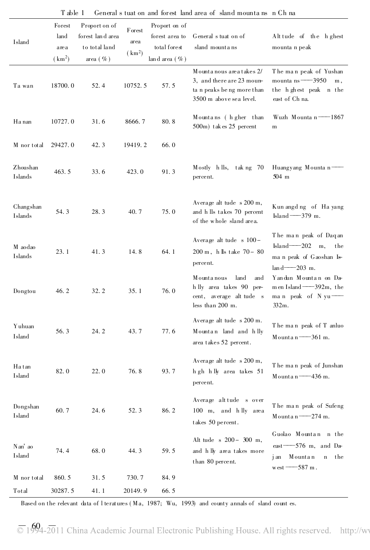|                      | Forest             | Proport on of    | Forest             | Proport on of     |                                                                                                                 |                                                                                                                                 |
|----------------------|--------------------|------------------|--------------------|-------------------|-----------------------------------------------------------------------------------------------------------------|---------------------------------------------------------------------------------------------------------------------------------|
| Island               | land               | forest land area | area               | forest area to    | General stuat on of                                                                                             | Alt tude of the h ghest                                                                                                         |
|                      | area               | to total land    | (km <sup>2</sup> ) | total forest      | sland mount a ns                                                                                                | mounta n peak                                                                                                                   |
|                      | (km <sup>2</sup> ) | area $(\%)$      |                    | land area $(\% )$ |                                                                                                                 |                                                                                                                                 |
| Ta wan               | 18700.0            | 52.4             | 10752.5            | 57.5              | Mounta nous area takes 2/<br>3, and there are 23 moun-<br>ta n peaks be ng more than<br>3500 m above sea level. | The man peak of Yushan<br>mounta $ns = 3950$<br>m <sub>1</sub><br>the h ghest peak n the<br>east of Ch na.                      |
| Ha nan               | 10727.0            | 31.6             | 8666.7             | 80.8              | Mountains (higher than<br>500m) takes 25 percent                                                                | Wuzh Mounta n-<br>-1867<br>m                                                                                                    |
| M nor total          | 29427.0            | 42.3             | 19419.2            | 66.0              |                                                                                                                 |                                                                                                                                 |
| Zhoushan<br>Islands  | 463.5              | 33.6             | 423.0              | 91.3              | Mostly hlls, taking 70<br>percent.                                                                              | Huangyang Mounta n-<br>$504 \text{ m}$                                                                                          |
| Changshan<br>Islands | 54.3               | 28.3             | 40.7               | 75.0              | Average alt tude s 200 m,<br>and h lls takes 70 percent<br>of the whole sland area.                             | Kun angd ng of Ha yang<br>Island -- 379 m.                                                                                      |
| M aodao<br>Islands   | 23.1               | 41.3             | 14.8               | 64.1              | Average alt tude s 100-<br>200 m, h ls take 70-80<br>percent.                                                   | The man peak of Daqan<br>Island——202<br>m,<br>the<br>man peak of Gaoshan Is-<br>$\lambda$ land $\lambda$ -203 m.                |
| Dongtou              | 46.2               | 32.2             | 35.1               | 76.0              | Mount a nous<br>land<br>and<br>h lly area takes 90 per-<br>cent, average alt tude s<br>less than 200 m.         | Yandun Mountan on Da-<br>m en Island -- 392m, the<br>man peak of N yu-<br>$332m$ .                                              |
| Yuhuan<br>Island     | 56.3               | 24.2             | 43.7               | 77.6              | Average alt tude s 200 m.<br>Mountan land and hlly<br>area takes 52 percent.                                    | The man peak of T anluo<br>$M$ ounta n $\frac{361 \text{ m}}{2}$                                                                |
| Hatan<br>Island      | 82.0               | 22.0             | 76.8               | 93.7              | Average alt tude s 200 m,<br>h gh h lly area takes 51<br>percent.                                               | The man peak of Junshan<br>Mountan $-436$ m.                                                                                    |
| Dongshan<br>Island   | 60.7               | 24.6             | 52.3               | 86.2              | Average alt tude s over<br>100 m, and hlly area<br>takes 50 percent.                                            | The man peak of Sufeng<br>Mountan $-274$ m.                                                                                     |
| Nan'ao<br>Island     | 74.4               | 68.0             | 44.3               | 59.5              | Alt tude s 200 – 300 m,<br>and hlly area takes more<br>than 80 percent.                                         | Guolao Mountan n the<br>$-576$ m, and Da-<br>$\text{east}$<br>Mountan<br>$\mathbf n$<br>the<br>j an<br>$w \text{ est}$ --587 m. |
| M nor total          | 860.5              | 31.5             | 730.7              | 84.9              |                                                                                                                 |                                                                                                                                 |
| Total                | 30287.5            | 41.1             | 20149.9            | 66.5              |                                                                                                                 |                                                                                                                                 |

T able 1 General s tuat on and for est land area of sland mounta ns n Ch na

Based on the relevant data of l teratures (Ma, 1987; Wu, 1993) and county annals of sland count es.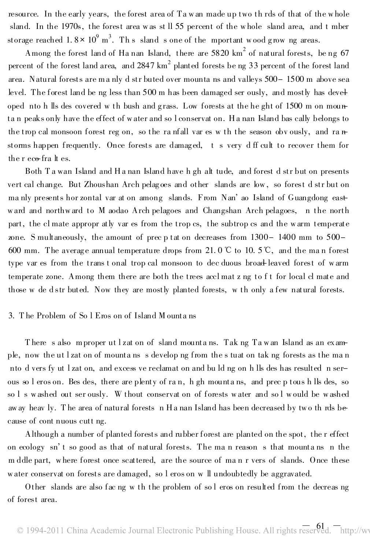resource. In the early years, the forest area of Ta w an made up two th rds of that of the w hole sland. In the 1970s, the forest area w as st ll 55 percent of the w hole sland area, and t mber storage reached 1.8 $\times$  10 $^9$  m<sup>3</sup>. Th s sland s one of the mportant wood grow ng areas.

Among the forest land of Ha nan Island, there are 5820  $\mathrm{km}^2$  of natural forests, be ng 67 percent of the forest land area, and 2847 km<sup>2</sup> planted forests be ng 33 percent of the forest land area. Natural forests are ma nly d str buted over mounta ns and valleys 500- 1500 m above sea level. The forest land be ng less than 500 m has been damaged ser ously, and mostly has developed nto h lls des covered w th bush and g rass. Low forests at the he ght of 1500 m on mounta n peaks only have the effect of w ater and so l conservat on. Ha nan Island bas cally belongs to the trop cal monsoon forest reg on, so the ranfall var es w th the season obv ously, and ranstorms happen frequently. Once forests are damag ed, t s very d ff cult to recover them for the r eco-fra lt es.

Both T a wan Island and Ha nan Island have h gh alt tude, and forest d str but on presents vert cal change. But Zhoushan Arch pelag oes and other slands are low , so forest d str but on ma nly presents hor zontal var at on among slands. From Nan' ao Island of Guangdong eastw ard and northw ard to M aodao Arch pelagoes and Changshan Arch pelagoes, n the north part, the cl mate appropr atly var es from the trop cs, the subtrop cs and the w arm temperate zone. S multaneously, the amount of prec p tat on decreases from 1300- 1400 mm to 500- 600 mm. The average annual temperature drops from 21.0  $\degree$  to 10.5  $\degree$ , and the man forest type var es from the trans t onal trop cal monsoon to dec duous broad-leaved forest of w arm temperate zone. Among them there are both the trees accl mat z ng to f t for local cl mate and those w de d str buted. Now they are mostly planted forests, w th only a few natural forests.

#### 3. T he Problem of So l Eros on of Island M ounta ns

There s also mproper ut l zat on of sland mounta ns. Tak ng Ta w an Island as an example, now the ut l zat on of mounta ns s develop ng from the s tuat on tak ng forests as the ma n nto d vers fy ut l zat on, and excess ve reclamat on and bu ld ng on h lls des has resulted n serous so l eros on. Bes des, there are plenty of ra n, h gh mounta ns, and prec p tous h lls des, so so l s w ashed out ser ously. W thout conservat on of forests w ater and so l w ould be w ashed aw ay heav ly. T he area of natural forests n Ha nan Island has been decreased by tw o th rds because of cont nuous cutt ng.

Although a number of planted forests and rubber forest are planted on the spot, the r effect on ecology sn t so good as that of natural forests. The ma n reason s that mounta ns n the m ddle part, w here forest once scattered, are the source of ma n r vers of slands. Once these w ater conservat on forests are damaged, so l eros on w ll undoubtedly be aggravated.

Other slands are also fac ng w th the problem of so l eros on resulted from the decreas ng of forest area.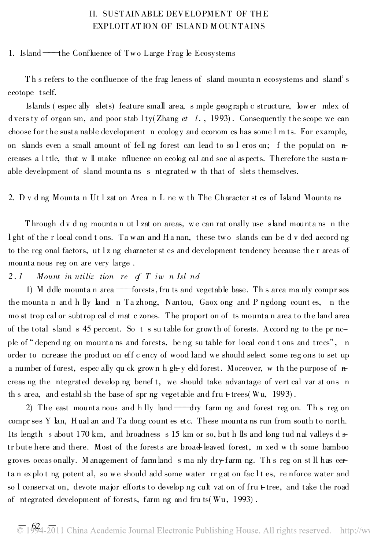## II. SUSTAINABLE DEVELOPMENT OF THE EXPLOITAT ION OF ISLAND M OUNTAINS

#### 1. Island  $-\text{the Confluence of Two Large Frag}$  le Ecosystems

Th s refers to the confluence of the frag leness of sland mounta n ecosystems and sland's ecotope tself.

Islands ( espec ally slets) feature small area, s mple geog raph c structure, low er ndex of d vers ty of organ sm, and poor stab l ty(Zhang et l., 1993). Consequently the scope we can choose for the susta nable development n ecolog y and econom cs has some l m ts. For example, on slands even a small amount of fell ng forest can lead to so l eros on; f the populat on ncreases a l ttle, that w  $\mathbb I$  make nfluence on ecolog cal and soc al aspects. Therefore the susta nable development of sland mounta ns s ntegrated w th that of slets themselves.

2. D v d ng Mounta n Ut l zat on Area n L ne w th The Character st cs of Island Mounta ns

Through dv d ng mounta n ut l zat on areas, we can rat onally use sland mounta ns n the l ght of the r local cond t ons. Ta w an and Ha nan, these tw o slands can be d v ded accord ng to the reg onal factors, ut lz ng character st cs and development tendency because the r areas of mounta nous reg on are very large .

#### 2.1 Mount in utilization reg of T iwn Isl nd

1) M ddle mounta n area — forests, fru ts and vegetable base. The s area manly compreses the mounta n and h lly land n Ta zhong, Nantou, Gaox ong and P ngdong count es, n the mo st trop cal or subtrop cal cl mat c zones. The proport on of ts mounta n area to the land area of the total sland s 45 percent. So t s su table for grow th of forests. Accord ng to the pr ncple of "depend ng on mounta ns and forests, be ng su table for local cond t ons and trees", n order to ncrease the product on eff c ency of wood land we should select some reg ons to set up a number of forest, espec ally qu ck grown h gh-y eld forest. Moreover, w th the purpose of  $n$ creas ng the ntegrated develop ng benef t, we should take advantage of vert cal var at ons n th s area, and establ sh the base of spr ng vegetable and fru  $\text{+}$  trees(Wu, 1993).

2) The east mounta nous and h lly land  $-\text{div}$  farm ng and forest reg on. The reg on compr ses Y lan, Hual an and Ta dong count es etc. These mounta ns run from south to north. Its length s about 170 km, and broadness s 15 km or so, but h lls and long tud nal valleys d  $s$ tr bute here and there. Most of the forests are broad-leaved forest, m xed w th some bamboo g roves occas onally. M anagement of farmland s ma nly dry-farm ng. Th s reg on st ll has certan explot ng potent al, so we should add some water rr gat on fac lt es, re nforce water and so l conservat on, devote major efforts to develop ng cult vat on of fru $+$ tree, and take the road of ntegrated development of forests, farm ng and fru ts( Wu, 1993) .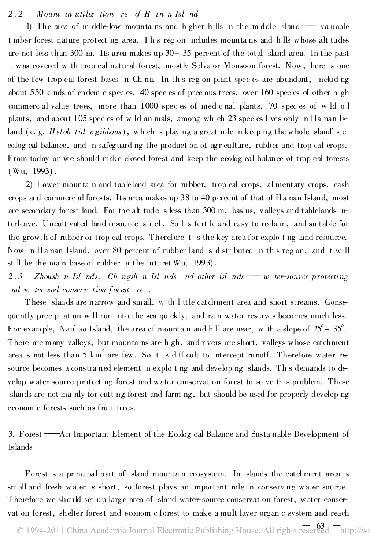### 2.2 Mount in utilization reg f H in n Isl nd

1) The area of m ddle-low mounta ns and h gher h lls n the m ddle sland  $\longrightarrow$  valuable t mber forest nature protect ng area. T h s reg on ncludes mounta ns and h lls w hose alt tudes are not less than 300 m. Its area makes up 30- 35 percent of the total sland area. In the past t w as covered w th trop cal natural forest, mostly Selva or Monsoon forest. Now , here s one of the few trop cal forest bases n Ch na. In th s reg on plant spec es are abundant, nclud ng about 550 k nds of endem c spec es, 40 spec es of prec ous trees, over 160 spec es of other h gh commerc al value trees, more than 1000 spec es of med c nal plants, 70 spec es of w ld o l plants, and about 105 spec es of w ld an mals, among wh ch 23 spec es l ves only n Ha nan Island (e. g.  $Hylob$  tid e gibbons), wh ch s play ng a great role n keep ng the whole sland's  $e$ colog cal balance, and n safeguard ng the product on of agr culture, rubber and trop cal crops. From today on w e should make closed forest and keep the ecolog cal balance of trop cal forests ( Wu, 1993) .

2) Lower mounta n and tableland area for rubber, trop cal crops, al mentary crops, cash crops and commerc al forests. Its area makes up 38 to 40 percent of that of Ha nan Island, most are secondary forest land. For the alt tude s less than 300 m, bas ns, v alleys and tablelands nterleave. Uncult vated land resource s r ch. So l s fert le and easy to recla m, and su table for the growth of rubber or trop cal crops. Therefore t s the key area for explo t ng land resource. Now n Ha nan Island, over 80 percent of rubber land s d str buted n th s reg on, and t w ll st ll be the ma n base of rubber n the future( Wu, 1993) .

2.3 Zhoush n Isl nds, Ch ngsh n Isl nds nd other isl nds  $-w$  ter-source protecting nd  $w$  ter-soil conserv tion forest re.

T hese slands are narrow and small, w th l ttle catchment area and short streams. Consequently prec p tat on w ll run nto the sea qu ckly, and ra n w ater reserves becomes much less. For example, Nan' ao Island, the area of mounta n and h ll are near, w th a slope of  $25^{\circ}$  –  $35^{\circ}$ . T here are many valleys, but mounta ns are h gh, and r vers are short, valleys w hose catchment area s not less than 5 km<sup>2</sup> are few. So t s d ff cult to ntercept runoff. Therefore water resource becomes a constra ned element n explo t ng and develop ng slands. This demands to develop w ater-source protect ng forest and w ater-conservat on forest to solve th s problem. These slands are not ma nly for cutt ng forest and farm ng , but should be used for properly develop ng econom c forests such as fru t trees.

3. Forest  **An** Important Element of the Ecolog cal Balance and Susta nable Development of Islands

Forest s a pr nc pal part of sland mounta n ecosystem. In slands the catchment area s small and fresh w ater s short, so forest plays an mportant role n conserv ng w ater source. Therefore we should set up large area of sland water-source conservat on forest, water conservat on forest, shelter forest and econom c forest to make a mult layer org an c system and reach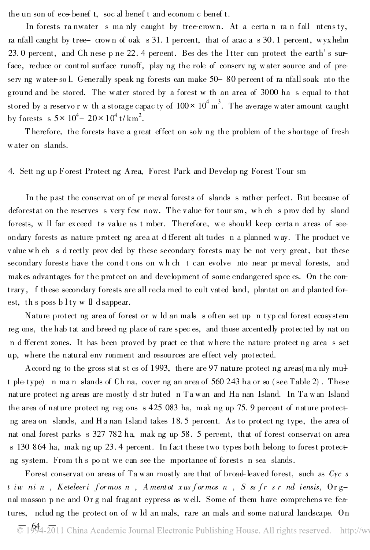the un son of eco-benef t, soc al benef t and econom c benef t.

In forests ra nwater s ma nly caught by tree-crow n. At a certa n ra n fall ntensty, ra nfall caught by tree- crown of oak s 31. 1 percent, that of acac a s 30. 1 percent, wyx helm 23.0 percent, and Ch nese p ne 22.4 percent. Bes des the l tter can protect the earth's surface, reduce or control surface runoff, play ng the role of conserv ng w ater source and of preserv ng w ater-so l. Generally speak ng forests can make 50- 80 percent of ra nfall soak nto the g round and be stored. The w ater stored by a forest w th an area of 3000 ha s equal to that stored by a reservo r w th a storage capac ty of  $100\times {10}^4\ {\rm m}^3.$  The average water amount caught by forests s  $5 \times 10^4 - 20 \times 10^4$  t/km<sup>2</sup>.

T herefore, the forests have a g reat effect on solv ng the problem of the shortage of fresh w ater on slands.

#### 4. Sett ng up Forest Protect ng Area, Forest Park and Develop ng Forest Tour sm

In the past the conservat on of pr mev al forests of slands s rather perfect. But because of deforestat on the reserves s very few now. The v alue for tour sm, w h ch s prov ded by sland forests, w ll far exceed ts value as t mber. Therefore, we should keep certa n areas of seeondary forests as nature protect ng area at d fferent alt tudes n a planned w ay. The product ve v alue w h ch s d rectly prov ded by these secondary forests may be not very great, but these secondary forests have the cond t ons on w h ch t can evolve nto near pr meval forests, and makes advantages for the protect on and development of some endangered spec es. On the contrary , f these secondary forests are all recla med to cult vated land, plantat on and planted forest, th s poss b l ty w ll d sappear.

Nature protect ng area of forest or w ld an mals s often set up n typ cal forest ecosystem reg ons, the hab tat and breed ng place of rare spec es, and those accentedly protected by nat on n d fferent zones. It has been proved by pract ce that w here the nature protect ng area s set up, where the natural env ronment and resources are effect vely protected.

Accord ng to the gross stat st cs of 1993, there are 97 nature protect ng areas(manly mu+ t ple-type) n ma n slands of Ch na, cover ng an area of 560 243 ha or so ( see Table 2) . These nature protect ng areas are mostly d str buted n Ta w an and Ha nan Island. In Ta w an Island the area of nature protect ng reg ons s 425 083 ha, mak ng up 75. 9 percent of nature protectng area on slands, and Ha nan Island takes 18. 5 percent. As to protect ng type, the area of nat onal forest parks s 327 782 ha, mak ng up 58. 5 percent, that of forest conservat on area s 130 864 ha, mak ng up 23.4 percent. In fact these two types both belong to forest protectng system. From th s po nt we can see the mportance of forests n sea slands.

Forest conservat on areas of Ta wan mostly are that of broad-leaved forest, such as Cyc s t iw ni n, K eteleeri for mos n, A ment ot x us for mos n, S ss fr s r nd iensis,  $0$ r gnal masson p ne and Or g nal frag ant cypress as well. Some of them have comprehens ve features, nclud ng the protect on of w ld an mals, rare an mals and some natural landscape. On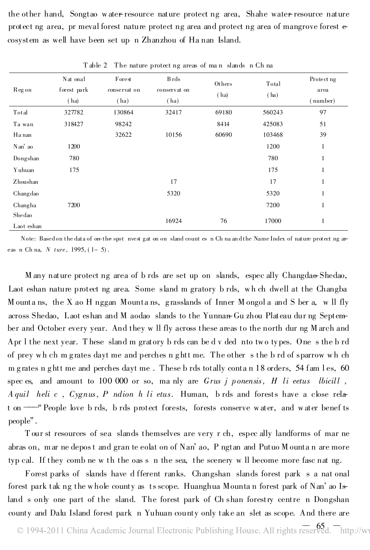the other hand, Songtao w ater-resource nature protect ng area, Shahe water-resource nature protect ng area, pr meval forest nature protect ng area and protect ng area of mangrove forest ecosystem as well have been set up n Zhanzhou of Ha nan Island.

| Reg on     | Nat onal<br>forest park<br>(ha) | Forest<br>conservat on<br>(ha) | B rds<br>conservat on<br>(ha) | Others<br>(ha) | Total<br>(ha) | Protect ng<br>area<br>number) |
|------------|---------------------------------|--------------------------------|-------------------------------|----------------|---------------|-------------------------------|
| Total      | 327782                          | 130864                         | 32417                         | 69180          | 560243        | 97                            |
| Ta wan     | 318427                          | 98242                          |                               | 8414           | 425083        | 51                            |
| Ha nan     |                                 | 32622                          | 10156                         | 60690          | 103468        | 39                            |
| Nan' ao    | 1200                            |                                |                               |                | 1200          | 1                             |
| Dongshan   | 780                             |                                |                               |                | 780           | $\mathbf{1}$                  |
| Yuhuan     | 175                             |                                |                               |                | 175           | 1                             |
| Zhoushan   |                                 |                                | 17                            |                | 17            | 1                             |
| Changdao   |                                 |                                | 5320                          |                | 5320          | 1                             |
| Changha    | 7200                            |                                |                               |                | 7200          | $\mathbf{1}$                  |
| Shedao     |                                 |                                | 16924                         | 76             | 17000         | 1                             |
| Laot eshan |                                 |                                |                               |                |               |                               |

T able 2 The nature protect ng areas of ma n slands n Ch na

Note: Based on the data of on-the-spot nvest gat on on sland count es n Ch na and the Name Index of nature protect ng areas n Ch na, N ture, 1995,  $(1-5)$ .

M any nature protect ng area of b rds are set up on slands, espec ally Changdao-Shedao, Laot eshan nature protect ng area. Some sland m gratory b rds, w h ch dwell at the Changba M ounta ns, the X ao H nggan Mounta ns, g rasslands of Inner M ongol a and S ber a, w ll fly across Shedao, Laot eshan and M aodao slands to the Yunnan-Gu zhou Plateau dur ng September and October every year. And they w ll fly across these areas to the north dur ng M arch and Apr l the next year. T hese sland m gratory b rds can be d v ded nto tw o ty pes. One s the b rd of prey w h ch m g rates dayt me and perches n g htt me. The other s the b rd of sparrow w h ch m g rates n g htt me and perches dayt me . These b rds totally conta n 18 orders, 54 fam l es, 60 spec es, and amount to 100 000 or so, ma nly are  $Grus$  *j* ponensis,  $H$  li eetus lbicill, A quil heli c, Cygnus, P ndion h li etus. Human, b rds and forests have a close relat on ----"People love b rds, b rds protect forests, forests conserve water, and water benef ts people".

T our st resources of sea slands themselves are very r ch, espec ally landforms of mar ne abras on, mar ne depost and gran te eolat on of Nan'ao, P ngtan and Putuo M ounta n are more typ cal. If they comb ne w th the oas s n the sea, the scenery w ll become more fasc nat ng.

Forest parks of slands have d fferent ranks. Changshan slands forest park s a nat onal forest park tak ng the w hole county as ts scope. Huanghua Mounta n forest park of Nan' ao Island s only one part of the sland. The forest park of Ch shan forestry centre n Dongshan county and Dalu Island forest park n Yuhuan county only take an slet as scope. And there are

 $\circ$  1994-2011 China Academic Journal Electronic Publishing House. All rights reserved.  $\overline{\phantom{a}}$ http://wv